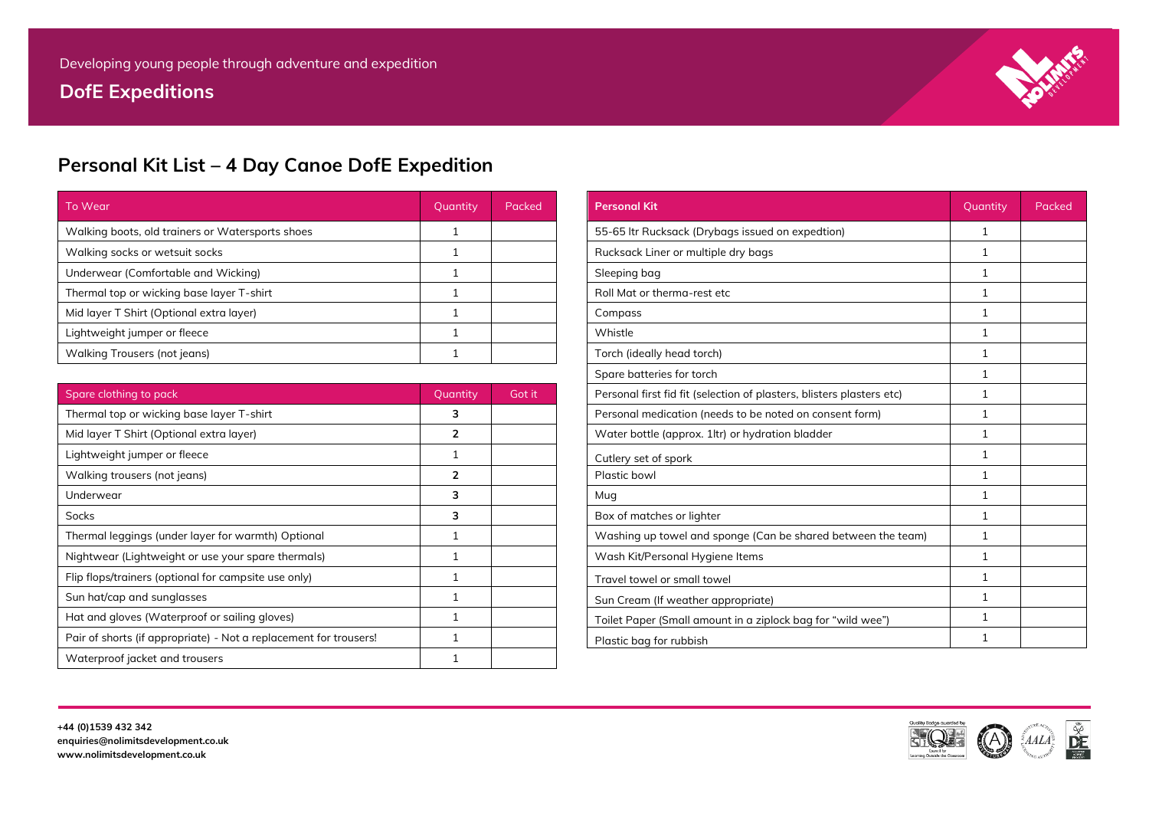# **DofE Expeditions**



# **Personal Kit List – 4 Day Canoe DofE Expedition**

| To Wear                                          | Quantity | Packed | <b>Personal Kit</b>                              | Quantity | Packed |
|--------------------------------------------------|----------|--------|--------------------------------------------------|----------|--------|
| Walking boots, old trainers or Watersports shoes |          |        | 55-65 ltr Rucksack (Drybags issued on expedtion) |          |        |
| Walking socks or wetsuit socks                   |          |        | Rucksack Liner or multiple dry bags              |          |        |
| Underwear (Comfortable and Wicking)              |          |        | Sleeping bag                                     |          |        |
| Thermal top or wicking base layer T-shirt        |          |        | Roll Mat or therma-rest etc                      |          |        |
| Mid layer T Shirt (Optional extra layer)         |          |        | Compass                                          |          |        |
| Lightweight jumper or fleece                     |          |        | Whistle                                          |          |        |
| Walking Trousers (not jeans)                     |          |        | Torch (ideally head torch)                       |          |        |

| Spare clothing to pack                                            | Quantity | Got it |
|-------------------------------------------------------------------|----------|--------|
| Thermal top or wicking base layer T-shirt                         | 3        |        |
| Mid layer T Shirt (Optional extra layer)                          | 2        |        |
| Lightweight jumper or fleece                                      |          |        |
| Walking trousers (not jeans)                                      | 2        |        |
| Underwear                                                         | 3        |        |
| Socks                                                             | 3        |        |
| Thermal leggings (under layer for warmth) Optional                |          |        |
| Nightwear (Lightweight or use your spare thermals)                |          |        |
| Flip flops/trainers (optional for campsite use only)              |          |        |
| Sun hat/cap and sunglasses                                        |          |        |
| Hat and gloves (Waterproof or sailing gloves)                     |          |        |
| Pair of shorts (if appropriate) - Not a replacement for trousers! |          |        |
| Waterproof jacket and trousers                                    |          |        |
|                                                                   |          |        |

| <b>Personal Kit</b>                                                   | Quantity     | Packed |
|-----------------------------------------------------------------------|--------------|--------|
| 55-65 Itr Rucksack (Drybags issued on expedtion)                      | $\mathbf{1}$ |        |
| Rucksack Liner or multiple dry bags                                   | 1            |        |
| Sleeping bag                                                          | 1            |        |
| Roll Mat or therma-rest etc                                           | $\mathbf{1}$ |        |
| Compass                                                               | $\mathbf{1}$ |        |
| Whistle                                                               | 1            |        |
| Torch (ideally head torch)                                            | 1            |        |
| Spare batteries for torch                                             | $\mathbf{1}$ |        |
| Personal first fid fit (selection of plasters, blisters plasters etc) | $\mathbf{1}$ |        |
| Personal medication (needs to be noted on consent form)               | $\mathbf{1}$ |        |
| Water bottle (approx. 1ltr) or hydration bladder                      | $\mathbf{1}$ |        |
| Cutlery set of spork                                                  | $\mathbf{1}$ |        |
| Plastic bowl                                                          | $\mathbf{1}$ |        |
| Mug                                                                   | $\mathbf{1}$ |        |
| Box of matches or lighter                                             | $\mathbf{1}$ |        |
| Washing up towel and sponge (Can be shared between the team)          | $\mathbf{1}$ |        |
| Wash Kit/Personal Hygiene Items                                       | 1            |        |
| Travel towel or small towel                                           | $\mathbf{1}$ |        |
| Sun Cream (If weather appropriate)                                    | 1            |        |
| Toilet Paper (Small amount in a ziplock bag for "wild wee")           | $\mathbf{1}$ |        |
| Plastic bag for rubbish                                               | $\mathbf{1}$ |        |